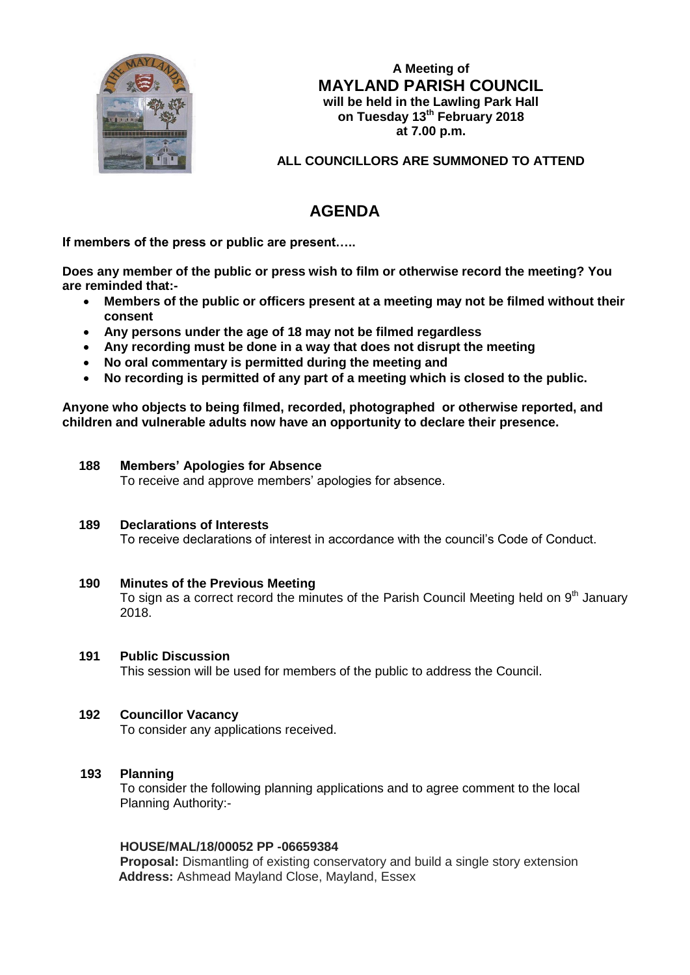

**A Meeting of MAYLAND PARISH COUNCIL will be held in the Lawling Park Hall on Tuesday 13th February 2018 at 7.00 p.m.**

**ALL COUNCILLORS ARE SUMMONED TO ATTEND**

# **AGENDA**

**If members of the press or public are present…..**

**Does any member of the public or press wish to film or otherwise record the meeting? You are reminded that:-**

- **Members of the public or officers present at a meeting may not be filmed without their consent**
- **Any persons under the age of 18 may not be filmed regardless**
- **Any recording must be done in a way that does not disrupt the meeting**
- **No oral commentary is permitted during the meeting and**
- **No recording is permitted of any part of a meeting which is closed to the public.**

**Anyone who objects to being filmed, recorded, photographed or otherwise reported, and children and vulnerable adults now have an opportunity to declare their presence.**

# **188 Members' Apologies for Absence**

To receive and approve members' apologies for absence.

#### **189 Declarations of Interests**

To receive declarations of interest in accordance with the council's Code of Conduct.

**190 Minutes of the Previous Meeting**  To sign as a correct record the minutes of the Parish Council Meeting held on  $9<sup>th</sup>$  January 2018.

# **191 Public Discussion**

This session will be used for members of the public to address the Council.

# **192 Councillor Vacancy**

To consider any applications received.

# **193 Planning**

To consider the following planning applications and to agree comment to the local Planning Authority:-

#### **HOUSE/MAL/18/00052 PP -06659384**

**Proposal:** Dismantling of existing conservatory and build a single story extension  **Address:** Ashmead Mayland Close, Mayland, Essex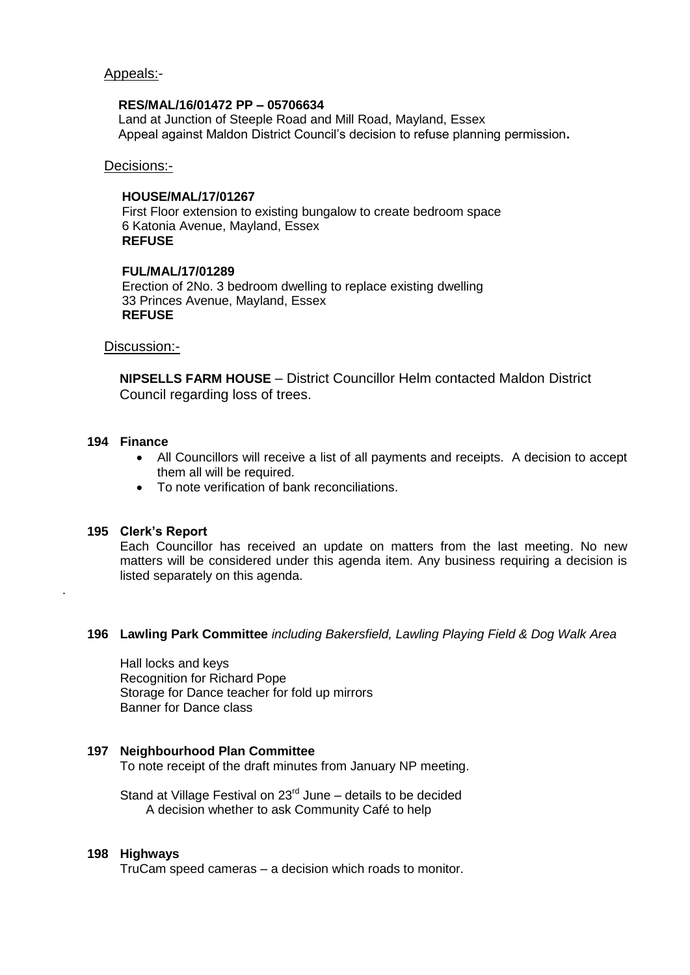### Appeals:-

#### **RES/MAL/16/01472 PP – 05706634**

Land at Junction of Steeple Road and Mill Road, Mayland, Essex Appeal against Maldon District Council's decision to refuse planning permission**.**

Decisions:-

## **HOUSE/MAL/17/01267**

First Floor extension to existing bungalow to create bedroom space 6 Katonia Avenue, Mayland, Essex **REFUSE**

#### **FUL/MAL/17/01289**

Erection of 2No. 3 bedroom dwelling to replace existing dwelling 33 Princes Avenue, Mayland, Essex **REFUSE**

#### Discussion:-

 **NIPSELLS FARM HOUSE** – District Councillor Helm contacted Maldon District Council regarding loss of trees.

#### **194 Finance**

.

- All Councillors will receive a list of all payments and receipts. A decision to accept them all will be required.
- To note verification of bank reconciliations.

#### **195 Clerk's Report**

Each Councillor has received an update on matters from the last meeting. No new matters will be considered under this agenda item. Any business requiring a decision is listed separately on this agenda.

#### **196 Lawling Park Committee** *including Bakersfield, Lawling Playing Field & Dog Walk Area*

Hall locks and keys Recognition for Richard Pope Storage for Dance teacher for fold up mirrors Banner for Dance class

#### **197 Neighbourhood Plan Committee**

To note receipt of the draft minutes from January NP meeting.

Stand at Village Festival on 23<sup>rd</sup> June – details to be decided A decision whether to ask Community Café to help

#### **198 Highways**

TruCam speed cameras – a decision which roads to monitor.